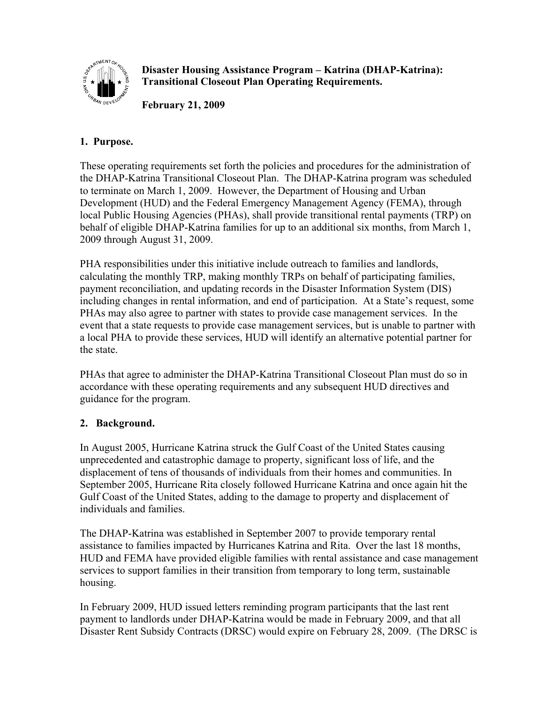

**Disaster Housing Assistance Program – Katrina (DHAP-Katrina): Transitional Closeout Plan Operating Requirements.** 

**February 21, 2009** 

# **1. Purpose.**

These operating requirements set forth the policies and procedures for the administration of the DHAP-Katrina Transitional Closeout Plan. The DHAP-Katrina program was scheduled to terminate on March 1, 2009. However, the Department of Housing and Urban Development (HUD) and the Federal Emergency Management Agency (FEMA), through local Public Housing Agencies (PHAs), shall provide transitional rental payments (TRP) on behalf of eligible DHAP-Katrina families for up to an additional six months, from March 1, 2009 through August 31, 2009.

PHA responsibilities under this initiative include outreach to families and landlords, calculating the monthly TRP, making monthly TRPs on behalf of participating families, payment reconciliation, and updating records in the Disaster Information System (DIS) including changes in rental information, and end of participation. At a State's request, some PHAs may also agree to partner with states to provide case management services. In the event that a state requests to provide case management services, but is unable to partner with a local PHA to provide these services, HUD will identify an alternative potential partner for the state.

PHAs that agree to administer the DHAP-Katrina Transitional Closeout Plan must do so in accordance with these operating requirements and any subsequent HUD directives and guidance for the program.

# **2. Background.**

In August 2005, Hurricane Katrina struck the Gulf Coast of the United States causing unprecedented and catastrophic damage to property, significant loss of life, and the displacement of tens of thousands of individuals from their homes and communities. In September 2005, Hurricane Rita closely followed Hurricane Katrina and once again hit the Gulf Coast of the United States, adding to the damage to property and displacement of individuals and families.

The DHAP-Katrina was established in September 2007 to provide temporary rental assistance to families impacted by Hurricanes Katrina and Rita. Over the last 18 months, HUD and FEMA have provided eligible families with rental assistance and case management services to support families in their transition from temporary to long term, sustainable housing.

In February 2009, HUD issued letters reminding program participants that the last rent payment to landlords under DHAP-Katrina would be made in February 2009, and that all Disaster Rent Subsidy Contracts (DRSC) would expire on February 28, 2009. (The DRSC is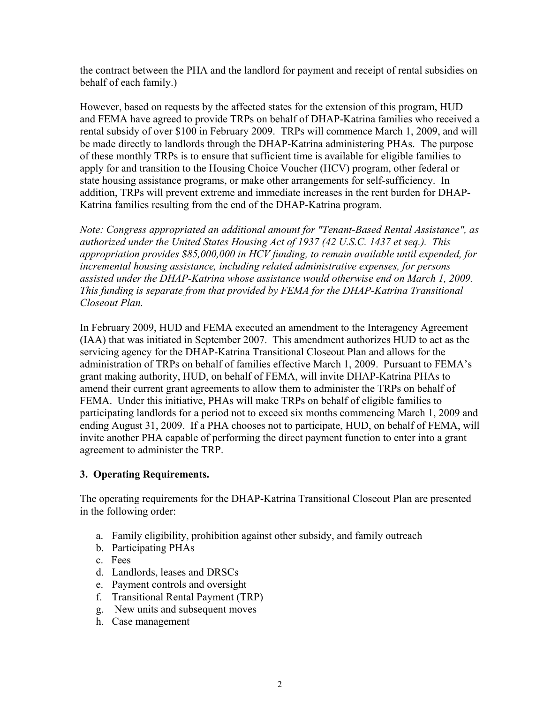the contract between the PHA and the landlord for payment and receipt of rental subsidies on behalf of each family.)

However, based on requests by the affected states for the extension of this program, HUD and FEMA have agreed to provide TRPs on behalf of DHAP-Katrina families who received a rental subsidy of over \$100 in February 2009. TRPs will commence March 1, 2009, and will be made directly to landlords through the DHAP-Katrina administering PHAs. The purpose of these monthly TRPs is to ensure that sufficient time is available for eligible families to apply for and transition to the Housing Choice Voucher (HCV) program, other federal or state housing assistance programs, or make other arrangements for self-sufficiency. In addition, TRPs will prevent extreme and immediate increases in the rent burden for DHAP-Katrina families resulting from the end of the DHAP-Katrina program.

*Note: Congress appropriated an additional amount for "Tenant-Based Rental Assistance", as authorized under the United States Housing Act of 1937 (42 U.S.C. 1437 et seq.). This appropriation provides \$85,000,000 in HCV funding, to remain available until expended, for incremental housing assistance, including related administrative expenses, for persons assisted under the DHAP-Katrina whose assistance would otherwise end on March 1, 2009. This funding is separate from that provided by FEMA for the DHAP-Katrina Transitional Closeout Plan.* 

In February 2009, HUD and FEMA executed an amendment to the Interagency Agreement (IAA) that was initiated in September 2007. This amendment authorizes HUD to act as the servicing agency for the DHAP-Katrina Transitional Closeout Plan and allows for the administration of TRPs on behalf of families effective March 1, 2009. Pursuant to FEMA's grant making authority, HUD, on behalf of FEMA, will invite DHAP-Katrina PHAs to amend their current grant agreements to allow them to administer the TRPs on behalf of FEMA. Under this initiative, PHAs will make TRPs on behalf of eligible families to participating landlords for a period not to exceed six months commencing March 1, 2009 and ending August 31, 2009. If a PHA chooses not to participate, HUD, on behalf of FEMA, will invite another PHA capable of performing the direct payment function to enter into a grant agreement to administer the TRP.

#### **3. Operating Requirements.**

The operating requirements for the DHAP-Katrina Transitional Closeout Plan are presented in the following order:

- a. Family eligibility, prohibition against other subsidy, and family outreach
- b. Participating PHAs
- c. Fees
- d. Landlords, leases and DRSCs
- e. Payment controls and oversight
- f. Transitional Rental Payment (TRP)
- g. New units and subsequent moves
- h. Case management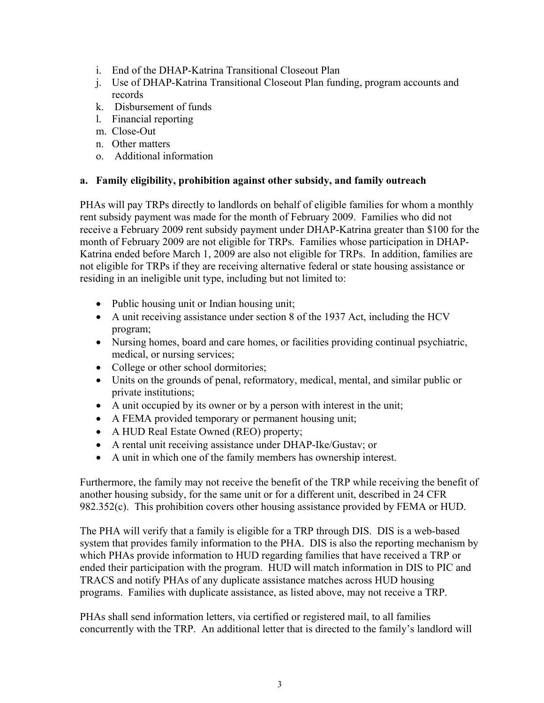- i. End of the DHAP-Katrina Transitional Closeout Plan
- j. Use of DHAP-Katrina Transitional Closeout Plan funding, program accounts and records
- k. Disbursement of funds
- l. Financial reporting
- m. Close-Out
- n. Other matters
- o. Additional information

#### **a. Family eligibility, prohibition against other subsidy, and family outreach**

PHAs will pay TRPs directly to landlords on behalf of eligible families for whom a monthly rent subsidy payment was made for the month of February 2009. Families who did not receive a February 2009 rent subsidy payment under DHAP-Katrina greater than \$100 for the month of February 2009 are not eligible for TRPs. Families whose participation in DHAP-Katrina ended before March 1, 2009 are also not eligible for TRPs. In addition, families are not eligible for TRPs if they are receiving alternative federal or state housing assistance or residing in an ineligible unit type, including but not limited to:

- Public housing unit or Indian housing unit;
- A unit receiving assistance under section 8 of the 1937 Act, including the HCV program;
- Nursing homes, board and care homes, or facilities providing continual psychiatric, medical, or nursing services;
- College or other school dormitories:
- Units on the grounds of penal, reformatory, medical, mental, and similar public or private institutions;
- A unit occupied by its owner or by a person with interest in the unit;
- A FEMA provided temporary or permanent housing unit;
- A HUD Real Estate Owned (REO) property;
- A rental unit receiving assistance under DHAP-Ike/Gustav; or
- A unit in which one of the family members has ownership interest.

Furthermore, the family may not receive the benefit of the TRP while receiving the benefit of another housing subsidy, for the same unit or for a different unit, described in 24 CFR 982.352(c). This prohibition covers other housing assistance provided by FEMA or HUD.

The PHA will verify that a family is eligible for a TRP through DIS. DIS is a web-based system that provides family information to the PHA. DIS is also the reporting mechanism by which PHAs provide information to HUD regarding families that have received a TRP or ended their participation with the program. HUD will match information in DIS to PIC and TRACS and notify PHAs of any duplicate assistance matches across HUD housing programs. Families with duplicate assistance, as listed above, may not receive a TRP.

PHAs shall send information letters, via certified or registered mail, to all families concurrently with the TRP. An additional letter that is directed to the family's landlord will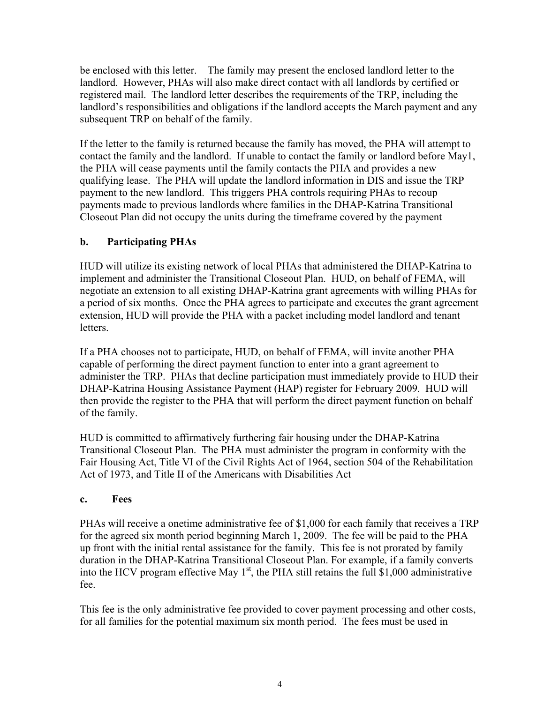be enclosed with this letter. The family may present the enclosed landlord letter to the landlord. However, PHAs will also make direct contact with all landlords by certified or registered mail. The landlord letter describes the requirements of the TRP, including the landlord's responsibilities and obligations if the landlord accepts the March payment and any subsequent TRP on behalf of the family.

If the letter to the family is returned because the family has moved, the PHA will attempt to contact the family and the landlord. If unable to contact the family or landlord before May1, the PHA will cease payments until the family contacts the PHA and provides a new qualifying lease. The PHA will update the landlord information in DIS and issue the TRP payment to the new landlord. This triggers PHA controls requiring PHAs to recoup payments made to previous landlords where families in the DHAP-Katrina Transitional Closeout Plan did not occupy the units during the timeframe covered by the payment

# **b. Participating PHAs**

HUD will utilize its existing network of local PHAs that administered the DHAP-Katrina to implement and administer the Transitional Closeout Plan. HUD, on behalf of FEMA, will negotiate an extension to all existing DHAP-Katrina grant agreements with willing PHAs for a period of six months. Once the PHA agrees to participate and executes the grant agreement extension, HUD will provide the PHA with a packet including model landlord and tenant letters.

If a PHA chooses not to participate, HUD, on behalf of FEMA, will invite another PHA capable of performing the direct payment function to enter into a grant agreement to administer the TRP. PHAs that decline participation must immediately provide to HUD their DHAP-Katrina Housing Assistance Payment (HAP) register for February 2009. HUD will then provide the register to the PHA that will perform the direct payment function on behalf of the family.

HUD is committed to affirmatively furthering fair housing under the DHAP-Katrina Transitional Closeout Plan. The PHA must administer the program in conformity with the Fair Housing Act, Title VI of the Civil Rights Act of 1964, section 504 of the Rehabilitation Act of 1973, and Title II of the Americans with Disabilities Act

# **c. Fees**

PHAs will receive a onetime administrative fee of \$1,000 for each family that receives a TRP for the agreed six month period beginning March 1, 2009. The fee will be paid to the PHA up front with the initial rental assistance for the family. This fee is not prorated by family duration in the DHAP-Katrina Transitional Closeout Plan. For example, if a family converts into the HCV program effective May  $1<sup>st</sup>$ , the PHA still retains the full \$1,000 administrative fee.

This fee is the only administrative fee provided to cover payment processing and other costs, for all families for the potential maximum six month period. The fees must be used in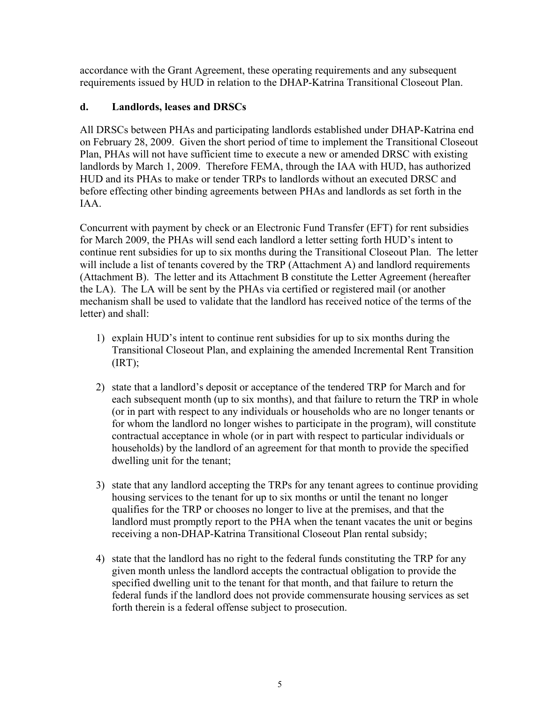accordance with the Grant Agreement, these operating requirements and any subsequent requirements issued by HUD in relation to the DHAP-Katrina Transitional Closeout Plan.

### **d. Landlords, leases and DRSCs**

All DRSCs between PHAs and participating landlords established under DHAP-Katrina end on February 28, 2009. Given the short period of time to implement the Transitional Closeout Plan, PHAs will not have sufficient time to execute a new or amended DRSC with existing landlords by March 1, 2009. Therefore FEMA, through the IAA with HUD, has authorized HUD and its PHAs to make or tender TRPs to landlords without an executed DRSC and before effecting other binding agreements between PHAs and landlords as set forth in the IAA.

Concurrent with payment by check or an Electronic Fund Transfer (EFT) for rent subsidies for March 2009, the PHAs will send each landlord a letter setting forth HUD's intent to continue rent subsidies for up to six months during the Transitional Closeout Plan. The letter will include a list of tenants covered by the TRP (Attachment A) and landlord requirements (Attachment B). The letter and its Attachment B constitute the Letter Agreement (hereafter the LA). The LA will be sent by the PHAs via certified or registered mail (or another mechanism shall be used to validate that the landlord has received notice of the terms of the letter) and shall:

- 1) explain HUD's intent to continue rent subsidies for up to six months during the Transitional Closeout Plan, and explaining the amended Incremental Rent Transition  $(IRT)$ :
- 2) state that a landlord's deposit or acceptance of the tendered TRP for March and for each subsequent month (up to six months), and that failure to return the TRP in whole (or in part with respect to any individuals or households who are no longer tenants or for whom the landlord no longer wishes to participate in the program), will constitute contractual acceptance in whole (or in part with respect to particular individuals or households) by the landlord of an agreement for that month to provide the specified dwelling unit for the tenant;
- 3) state that any landlord accepting the TRPs for any tenant agrees to continue providing housing services to the tenant for up to six months or until the tenant no longer qualifies for the TRP or chooses no longer to live at the premises, and that the landlord must promptly report to the PHA when the tenant vacates the unit or begins receiving a non-DHAP-Katrina Transitional Closeout Plan rental subsidy;
- 4) state that the landlord has no right to the federal funds constituting the TRP for any given month unless the landlord accepts the contractual obligation to provide the specified dwelling unit to the tenant for that month, and that failure to return the federal funds if the landlord does not provide commensurate housing services as set forth therein is a federal offense subject to prosecution.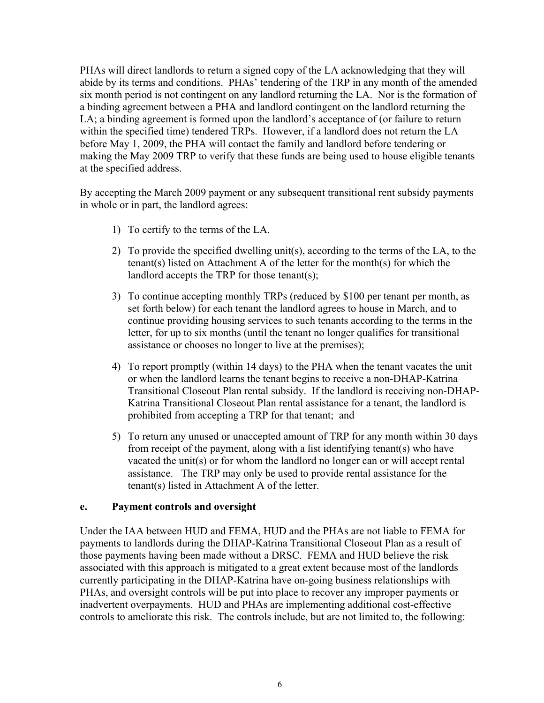PHAs will direct landlords to return a signed copy of the LA acknowledging that they will abide by its terms and conditions. PHAs' tendering of the TRP in any month of the amended six month period is not contingent on any landlord returning the LA. Nor is the formation of a binding agreement between a PHA and landlord contingent on the landlord returning the LA; a binding agreement is formed upon the landlord's acceptance of (or failure to return within the specified time) tendered TRPs. However, if a landlord does not return the LA before May 1, 2009, the PHA will contact the family and landlord before tendering or making the May 2009 TRP to verify that these funds are being used to house eligible tenants at the specified address.

By accepting the March 2009 payment or any subsequent transitional rent subsidy payments in whole or in part, the landlord agrees:

- 1) To certify to the terms of the LA.
- 2) To provide the specified dwelling unit(s), according to the terms of the LA, to the tenant(s) listed on Attachment A of the letter for the month(s) for which the landlord accepts the TRP for those tenant(s);
- 3) To continue accepting monthly TRPs (reduced by \$100 per tenant per month, as set forth below) for each tenant the landlord agrees to house in March, and to continue providing housing services to such tenants according to the terms in the letter, for up to six months (until the tenant no longer qualifies for transitional assistance or chooses no longer to live at the premises);
- 4) To report promptly (within 14 days) to the PHA when the tenant vacates the unit or when the landlord learns the tenant begins to receive a non-DHAP-Katrina Transitional Closeout Plan rental subsidy. If the landlord is receiving non-DHAP-Katrina Transitional Closeout Plan rental assistance for a tenant, the landlord is prohibited from accepting a TRP for that tenant; and
- 5) To return any unused or unaccepted amount of TRP for any month within 30 days from receipt of the payment, along with a list identifying tenant(s) who have vacated the unit(s) or for whom the landlord no longer can or will accept rental assistance. The TRP may only be used to provide rental assistance for the tenant(s) listed in Attachment A of the letter.

#### **e. Payment controls and oversight**

Under the IAA between HUD and FEMA, HUD and the PHAs are not liable to FEMA for payments to landlords during the DHAP-Katrina Transitional Closeout Plan as a result of those payments having been made without a DRSC. FEMA and HUD believe the risk associated with this approach is mitigated to a great extent because most of the landlords currently participating in the DHAP-Katrina have on-going business relationships with PHAs, and oversight controls will be put into place to recover any improper payments or inadvertent overpayments. HUD and PHAs are implementing additional cost-effective controls to ameliorate this risk. The controls include, but are not limited to, the following: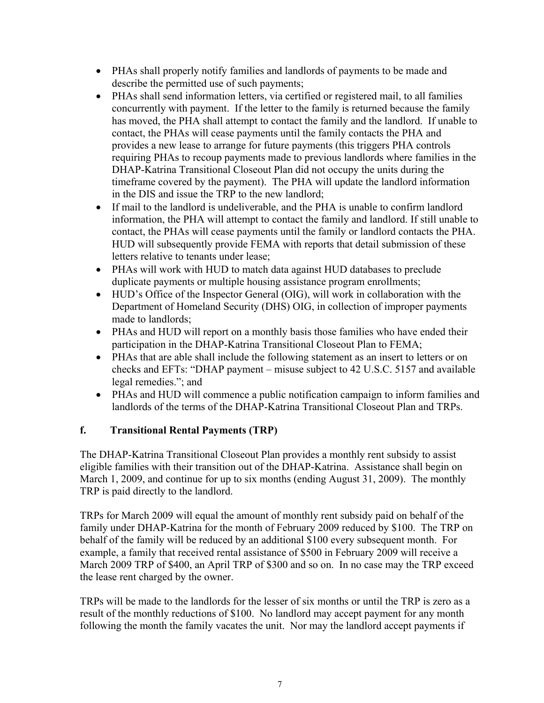- PHAs shall properly notify families and landlords of payments to be made and describe the permitted use of such payments;
- PHAs shall send information letters, via certified or registered mail, to all families concurrently with payment. If the letter to the family is returned because the family has moved, the PHA shall attempt to contact the family and the landlord. If unable to contact, the PHAs will cease payments until the family contacts the PHA and provides a new lease to arrange for future payments (this triggers PHA controls requiring PHAs to recoup payments made to previous landlords where families in the DHAP-Katrina Transitional Closeout Plan did not occupy the units during the timeframe covered by the payment). The PHA will update the landlord information in the DIS and issue the TRP to the new landlord;
- If mail to the landlord is undeliverable, and the PHA is unable to confirm landlord information, the PHA will attempt to contact the family and landlord. If still unable to contact, the PHAs will cease payments until the family or landlord contacts the PHA. HUD will subsequently provide FEMA with reports that detail submission of these letters relative to tenants under lease;
- PHAs will work with HUD to match data against HUD databases to preclude duplicate payments or multiple housing assistance program enrollments;
- HUD's Office of the Inspector General (OIG), will work in collaboration with the Department of Homeland Security (DHS) OIG, in collection of improper payments made to landlords;
- PHAs and HUD will report on a monthly basis those families who have ended their participation in the DHAP-Katrina Transitional Closeout Plan to FEMA;
- PHAs that are able shall include the following statement as an insert to letters or on checks and EFTs: "DHAP payment – misuse subject to 42 U.S.C. 5157 and available legal remedies."; and
- PHAs and HUD will commence a public notification campaign to inform families and landlords of the terms of the DHAP-Katrina Transitional Closeout Plan and TRPs.

# **f. Transitional Rental Payments (TRP)**

The DHAP-Katrina Transitional Closeout Plan provides a monthly rent subsidy to assist eligible families with their transition out of the DHAP-Katrina. Assistance shall begin on March 1, 2009, and continue for up to six months (ending August 31, 2009). The monthly TRP is paid directly to the landlord.

TRPs for March 2009 will equal the amount of monthly rent subsidy paid on behalf of the family under DHAP-Katrina for the month of February 2009 reduced by \$100. The TRP on behalf of the family will be reduced by an additional \$100 every subsequent month. For example, a family that received rental assistance of \$500 in February 2009 will receive a March 2009 TRP of \$400, an April TRP of \$300 and so on. In no case may the TRP exceed the lease rent charged by the owner.

TRPs will be made to the landlords for the lesser of six months or until the TRP is zero as a result of the monthly reductions of \$100. No landlord may accept payment for any month following the month the family vacates the unit. Nor may the landlord accept payments if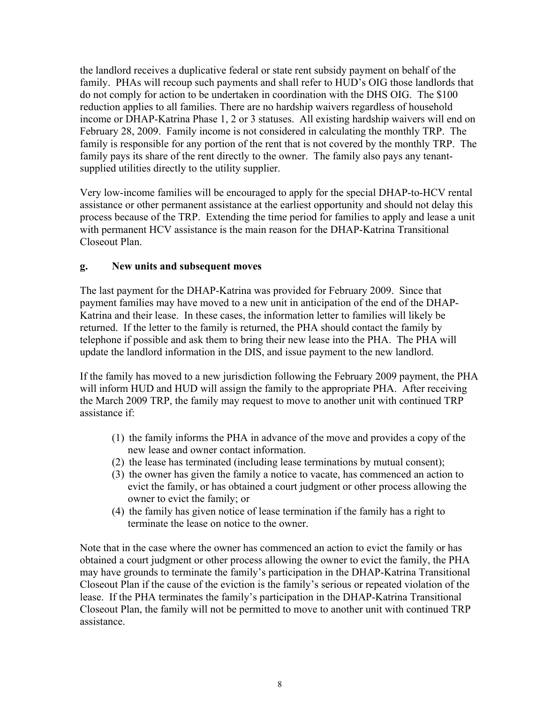the landlord receives a duplicative federal or state rent subsidy payment on behalf of the family. PHAs will recoup such payments and shall refer to HUD's OIG those landlords that do not comply for action to be undertaken in coordination with the DHS OIG. The \$100 reduction applies to all families. There are no hardship waivers regardless of household income or DHAP-Katrina Phase 1, 2 or 3 statuses. All existing hardship waivers will end on February 28, 2009. Family income is not considered in calculating the monthly TRP. The family is responsible for any portion of the rent that is not covered by the monthly TRP. The family pays its share of the rent directly to the owner. The family also pays any tenantsupplied utilities directly to the utility supplier.

Very low-income families will be encouraged to apply for the special DHAP-to-HCV rental assistance or other permanent assistance at the earliest opportunity and should not delay this process because of the TRP. Extending the time period for families to apply and lease a unit with permanent HCV assistance is the main reason for the DHAP-Katrina Transitional Closeout Plan.

#### **g. New units and subsequent moves**

The last payment for the DHAP-Katrina was provided for February 2009. Since that payment families may have moved to a new unit in anticipation of the end of the DHAP-Katrina and their lease. In these cases, the information letter to families will likely be returned. If the letter to the family is returned, the PHA should contact the family by telephone if possible and ask them to bring their new lease into the PHA. The PHA will update the landlord information in the DIS, and issue payment to the new landlord.

If the family has moved to a new jurisdiction following the February 2009 payment, the PHA will inform HUD and HUD will assign the family to the appropriate PHA. After receiving the March 2009 TRP, the family may request to move to another unit with continued TRP assistance if:

- (1) the family informs the PHA in advance of the move and provides a copy of the new lease and owner contact information.
- (2) the lease has terminated (including lease terminations by mutual consent);
- (3) the owner has given the family a notice to vacate, has commenced an action to evict the family, or has obtained a court judgment or other process allowing the owner to evict the family; or
- (4) the family has given notice of lease termination if the family has a right to terminate the lease on notice to the owner.

Note that in the case where the owner has commenced an action to evict the family or has obtained a court judgment or other process allowing the owner to evict the family, the PHA may have grounds to terminate the family's participation in the DHAP-Katrina Transitional Closeout Plan if the cause of the eviction is the family's serious or repeated violation of the lease. If the PHA terminates the family's participation in the DHAP-Katrina Transitional Closeout Plan, the family will not be permitted to move to another unit with continued TRP assistance.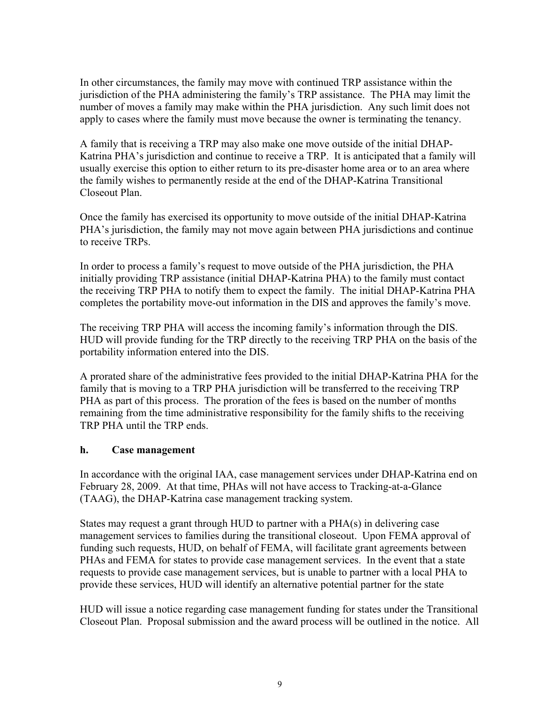In other circumstances, the family may move with continued TRP assistance within the jurisdiction of the PHA administering the family's TRP assistance. The PHA may limit the number of moves a family may make within the PHA jurisdiction. Any such limit does not apply to cases where the family must move because the owner is terminating the tenancy.

A family that is receiving a TRP may also make one move outside of the initial DHAP-Katrina PHA's jurisdiction and continue to receive a TRP. It is anticipated that a family will usually exercise this option to either return to its pre-disaster home area or to an area where the family wishes to permanently reside at the end of the DHAP-Katrina Transitional Closeout Plan.

Once the family has exercised its opportunity to move outside of the initial DHAP-Katrina PHA's jurisdiction, the family may not move again between PHA jurisdictions and continue to receive TRPs.

In order to process a family's request to move outside of the PHA jurisdiction, the PHA initially providing TRP assistance (initial DHAP-Katrina PHA) to the family must contact the receiving TRP PHA to notify them to expect the family. The initial DHAP-Katrina PHA completes the portability move-out information in the DIS and approves the family's move.

The receiving TRP PHA will access the incoming family's information through the DIS. HUD will provide funding for the TRP directly to the receiving TRP PHA on the basis of the portability information entered into the DIS.

A prorated share of the administrative fees provided to the initial DHAP-Katrina PHA for the family that is moving to a TRP PHA jurisdiction will be transferred to the receiving TRP PHA as part of this process. The proration of the fees is based on the number of months remaining from the time administrative responsibility for the family shifts to the receiving TRP PHA until the TRP ends.

#### **h. Case management**

In accordance with the original IAA, case management services under DHAP-Katrina end on February 28, 2009. At that time, PHAs will not have access to Tracking-at-a-Glance (TAAG), the DHAP-Katrina case management tracking system.

States may request a grant through HUD to partner with a PHA(s) in delivering case management services to families during the transitional closeout. Upon FEMA approval of funding such requests, HUD, on behalf of FEMA, will facilitate grant agreements between PHAs and FEMA for states to provide case management services. In the event that a state requests to provide case management services, but is unable to partner with a local PHA to provide these services, HUD will identify an alternative potential partner for the state

HUD will issue a notice regarding case management funding for states under the Transitional Closeout Plan. Proposal submission and the award process will be outlined in the notice. All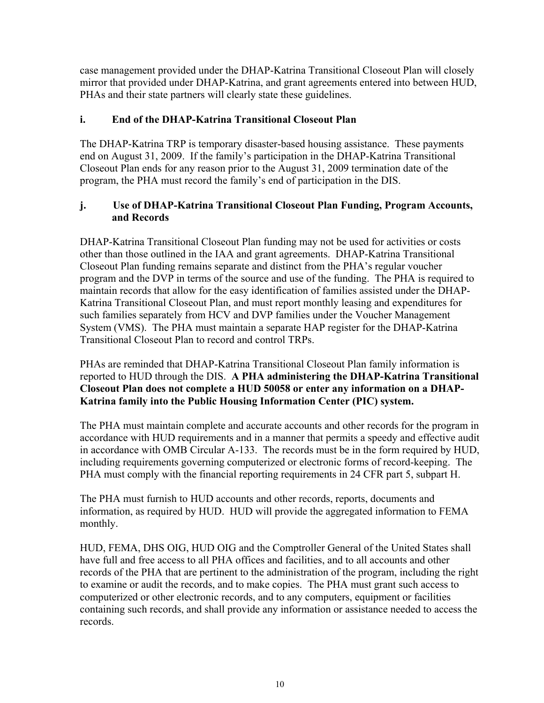case management provided under the DHAP-Katrina Transitional Closeout Plan will closely mirror that provided under DHAP-Katrina, and grant agreements entered into between HUD, PHAs and their state partners will clearly state these guidelines.

### **i. End of the DHAP-Katrina Transitional Closeout Plan**

The DHAP-Katrina TRP is temporary disaster-based housing assistance. These payments end on August 31, 2009. If the family's participation in the DHAP-Katrina Transitional Closeout Plan ends for any reason prior to the August 31, 2009 termination date of the program, the PHA must record the family's end of participation in the DIS.

### **j. Use of DHAP-Katrina Transitional Closeout Plan Funding, Program Accounts, and Records**

DHAP-Katrina Transitional Closeout Plan funding may not be used for activities or costs other than those outlined in the IAA and grant agreements. DHAP-Katrina Transitional Closeout Plan funding remains separate and distinct from the PHA's regular voucher program and the DVP in terms of the source and use of the funding. The PHA is required to maintain records that allow for the easy identification of families assisted under the DHAP-Katrina Transitional Closeout Plan, and must report monthly leasing and expenditures for such families separately from HCV and DVP families under the Voucher Management System (VMS). The PHA must maintain a separate HAP register for the DHAP-Katrina Transitional Closeout Plan to record and control TRPs.

PHAs are reminded that DHAP-Katrina Transitional Closeout Plan family information is reported to HUD through the DIS. **A PHA administering the DHAP-Katrina Transitional Closeout Plan does not complete a HUD 50058 or enter any information on a DHAP-Katrina family into the Public Housing Information Center (PIC) system.**

The PHA must maintain complete and accurate accounts and other records for the program in accordance with HUD requirements and in a manner that permits a speedy and effective audit in accordance with OMB Circular A-133. The records must be in the form required by HUD, including requirements governing computerized or electronic forms of record-keeping. The PHA must comply with the financial reporting requirements in 24 CFR part 5, subpart H.

The PHA must furnish to HUD accounts and other records, reports, documents and information, as required by HUD. HUD will provide the aggregated information to FEMA monthly.

HUD, FEMA, DHS OIG, HUD OIG and the Comptroller General of the United States shall have full and free access to all PHA offices and facilities, and to all accounts and other records of the PHA that are pertinent to the administration of the program, including the right to examine or audit the records, and to make copies. The PHA must grant such access to computerized or other electronic records, and to any computers, equipment or facilities containing such records, and shall provide any information or assistance needed to access the records.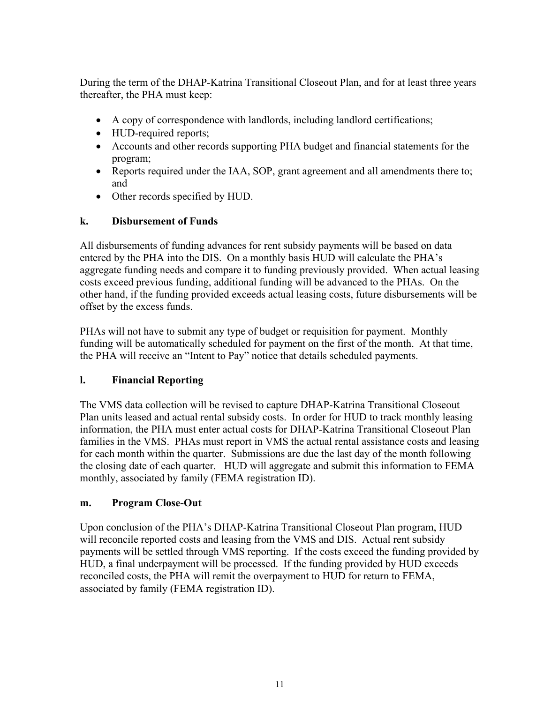During the term of the DHAP-Katrina Transitional Closeout Plan, and for at least three years thereafter, the PHA must keep:

- A copy of correspondence with landlords, including landlord certifications;
- HUD-required reports;
- Accounts and other records supporting PHA budget and financial statements for the program;
- Reports required under the IAA, SOP, grant agreement and all amendments there to; and
- Other records specified by HUD.

# **k. Disbursement of Funds**

All disbursements of funding advances for rent subsidy payments will be based on data entered by the PHA into the DIS. On a monthly basis HUD will calculate the PHA's aggregate funding needs and compare it to funding previously provided. When actual leasing costs exceed previous funding, additional funding will be advanced to the PHAs. On the other hand, if the funding provided exceeds actual leasing costs, future disbursements will be offset by the excess funds.

PHAs will not have to submit any type of budget or requisition for payment. Monthly funding will be automatically scheduled for payment on the first of the month. At that time, the PHA will receive an "Intent to Pay" notice that details scheduled payments.

# **l. Financial Reporting**

The VMS data collection will be revised to capture DHAP-Katrina Transitional Closeout Plan units leased and actual rental subsidy costs. In order for HUD to track monthly leasing information, the PHA must enter actual costs for DHAP-Katrina Transitional Closeout Plan families in the VMS. PHAs must report in VMS the actual rental assistance costs and leasing for each month within the quarter. Submissions are due the last day of the month following the closing date of each quarter. HUD will aggregate and submit this information to FEMA monthly, associated by family (FEMA registration ID).

# **m. Program Close-Out**

Upon conclusion of the PHA's DHAP-Katrina Transitional Closeout Plan program, HUD will reconcile reported costs and leasing from the VMS and DIS. Actual rent subsidy payments will be settled through VMS reporting. If the costs exceed the funding provided by HUD, a final underpayment will be processed. If the funding provided by HUD exceeds reconciled costs, the PHA will remit the overpayment to HUD for return to FEMA, associated by family (FEMA registration ID).